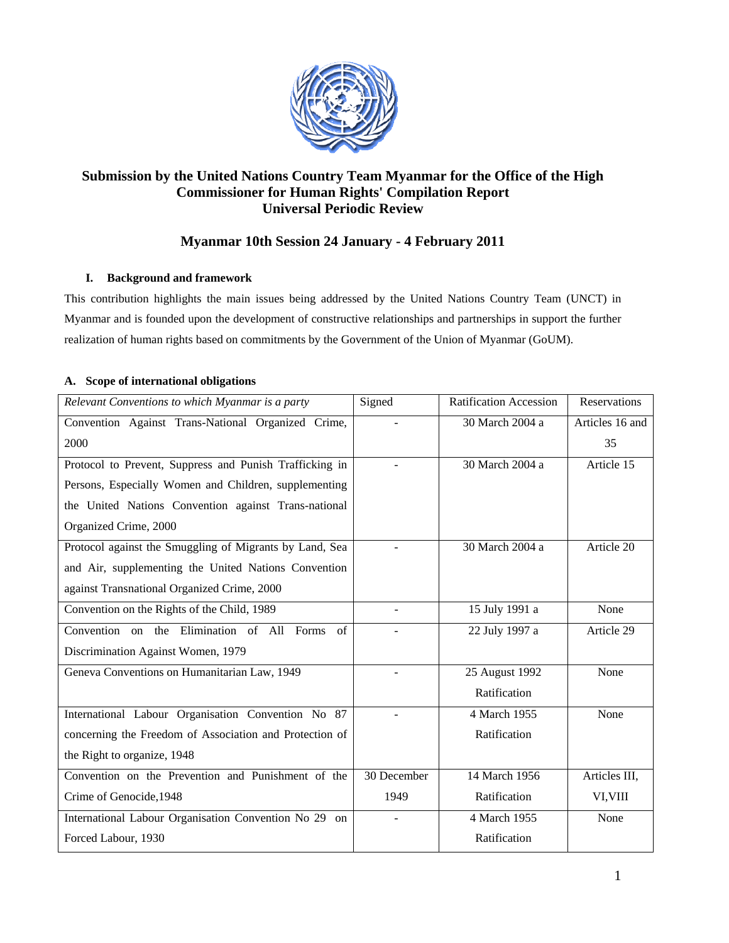

# **Submission by the United Nations Country Team Myanmar for the Office of the High Commissioner for Human Rights' Compilation Report Universal Periodic Review**

# **Myanmar 10th Session 24 January - 4 February 2011**

## **I. Background and framework**

This contribution highlights the main issues being addressed by the United Nations Country Team (UNCT) in Myanmar and is founded upon the development of constructive relationships and partnerships in support the further realization of human rights based on commitments by the Government of the Union of Myanmar (GoUM).

## **A. Scope of international obligations**

| Relevant Conventions to which Myanmar is a party         | Signed                   | <b>Ratification Accession</b> | Reservations    |
|----------------------------------------------------------|--------------------------|-------------------------------|-----------------|
| Convention Against Trans-National Organized Crime,       |                          | 30 March 2004 a               | Articles 16 and |
| 2000                                                     |                          |                               | 35              |
| Protocol to Prevent, Suppress and Punish Trafficking in  |                          | 30 March 2004 a               | Article 15      |
| Persons, Especially Women and Children, supplementing    |                          |                               |                 |
| the United Nations Convention against Trans-national     |                          |                               |                 |
| Organized Crime, 2000                                    |                          |                               |                 |
| Protocol against the Smuggling of Migrants by Land, Sea  |                          | 30 March 2004 a               | Article 20      |
| and Air, supplementing the United Nations Convention     |                          |                               |                 |
| against Transnational Organized Crime, 2000              |                          |                               |                 |
| Convention on the Rights of the Child, 1989              | $\overline{\phantom{a}}$ | 15 July 1991 a                | None            |
| Convention on the Elimination of All Forms<br>of         |                          | 22 July 1997 a                | Article 29      |
| Discrimination Against Women, 1979                       |                          |                               |                 |
| Geneva Conventions on Humanitarian Law, 1949             |                          | 25 August 1992                | None            |
|                                                          |                          | Ratification                  |                 |
| International Labour Organisation Convention No 87       |                          | 4 March 1955                  | None            |
| concerning the Freedom of Association and Protection of  |                          | Ratification                  |                 |
| the Right to organize, 1948                              |                          |                               |                 |
| Convention on the Prevention and Punishment of the       | 30 December              | 14 March 1956                 | Articles III,   |
| Crime of Genocide, 1948                                  | 1949                     | Ratification                  | VI, VIII        |
| International Labour Organisation Convention No 29<br>on |                          | 4 March 1955                  | None            |
| Forced Labour, 1930                                      |                          | Ratification                  |                 |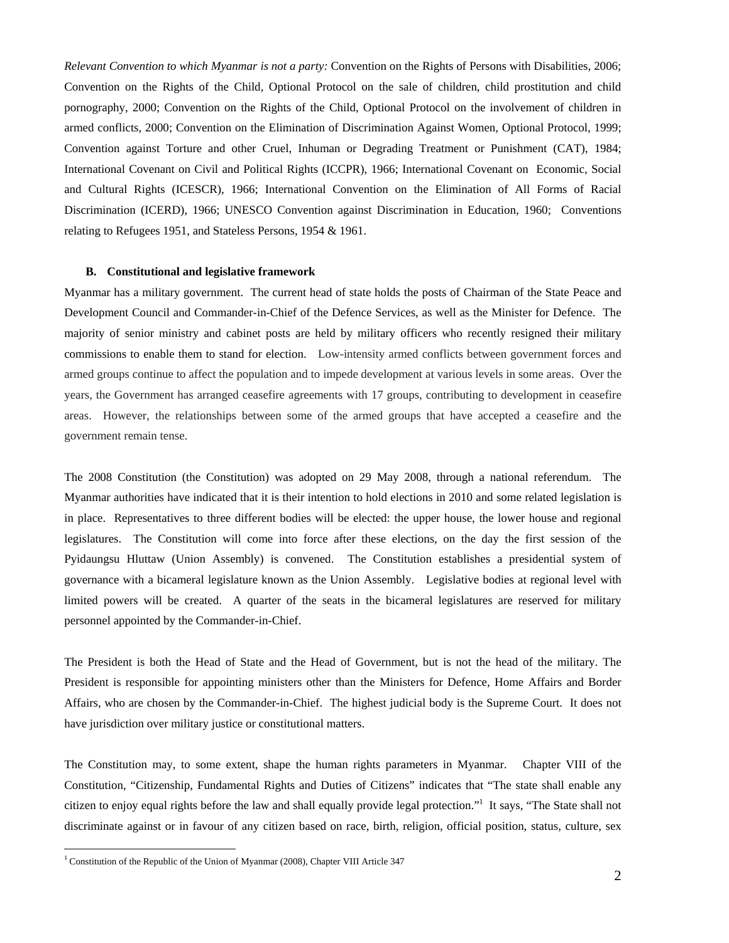*Relevant Convention to which Myanmar is not a party:* Convention on the Rights of Persons with Disabilities, 2006; Convention on the Rights of the Child, Optional Protocol on the sale of children, child prostitution and child pornography, 2000; Convention on the Rights of the Child, Optional Protocol on the involvement of children in armed conflicts, 2000; Convention on the Elimination of Discrimination Against Women, Optional Protocol, 1999; Convention against Torture and other Cruel, Inhuman or Degrading Treatment or Punishment (CAT), 1984; International Covenant on Civil and Political Rights (ICCPR), 1966; International Covenant on Economic, Social and Cultural Rights (ICESCR), 1966; International Convention on the Elimination of All Forms of Racial Discrimination (ICERD), 1966; UNESCO Convention against Discrimination in Education, 1960; Conventions relating to Refugees 1951, and Stateless Persons, 1954 & 1961.

#### **B. Constitutional and legislative framework**

Myanmar has a military government. The current head of state holds the posts of Chairman of the State Peace and Development Council and Commander-in-Chief of the Defence Services, as well as the Minister for Defence. The majority of senior ministry and cabinet posts are held by military officers who recently resigned their military commissions to enable them to stand for election. Low-intensity armed conflicts between government forces and armed groups continue to affect the population and to impede development at various levels in some areas. Over the years, the Government has arranged ceasefire agreements with 17 groups, contributing to development in ceasefire areas. However, the relationships between some of the armed groups that have accepted a ceasefire and the government remain tense.

The 2008 Constitution (the Constitution) was adopted on 29 May 2008, through a national referendum. The Myanmar authorities have indicated that it is their intention to hold elections in 2010 and some related legislation is in place. Representatives to three different bodies will be elected: the upper house, the lower house and regional legislatures. The Constitution will come into force after these elections, on the day the first session of the Pyidaungsu Hluttaw (Union Assembly) is convened. The Constitution establishes a presidential system of governance with a bicameral legislature known as the Union Assembly. Legislative bodies at regional level with limited powers will be created. A quarter of the seats in the bicameral legislatures are reserved for military personnel appointed by the Commander-in-Chief.

The President is both the Head of State and the Head of Government, but is not the head of the military. The President is responsible for appointing ministers other than the Ministers for Defence, Home Affairs and Border Affairs, who are chosen by the Commander-in-Chief. The highest judicial body is the Supreme Court. It does not have jurisdiction over military justice or constitutional matters.

The Constitution may, to some extent, shape the human rights parameters in Myanmar. Chapter VIII of the Constitution, "Citizenship, Fundamental Rights and Duties of Citizens" indicates that "The state shall enable any citizen to enjoy equal rights before the law and shall equally provide legal protection."<sup>1</sup> It says, "The State shall not discriminate against or in favour of any citizen based on race, birth, religion, official position, status, culture, sex

<sup>1</sup> Constitution of the Republic of the Union of Myanmar (2008), Chapter VIII Article 347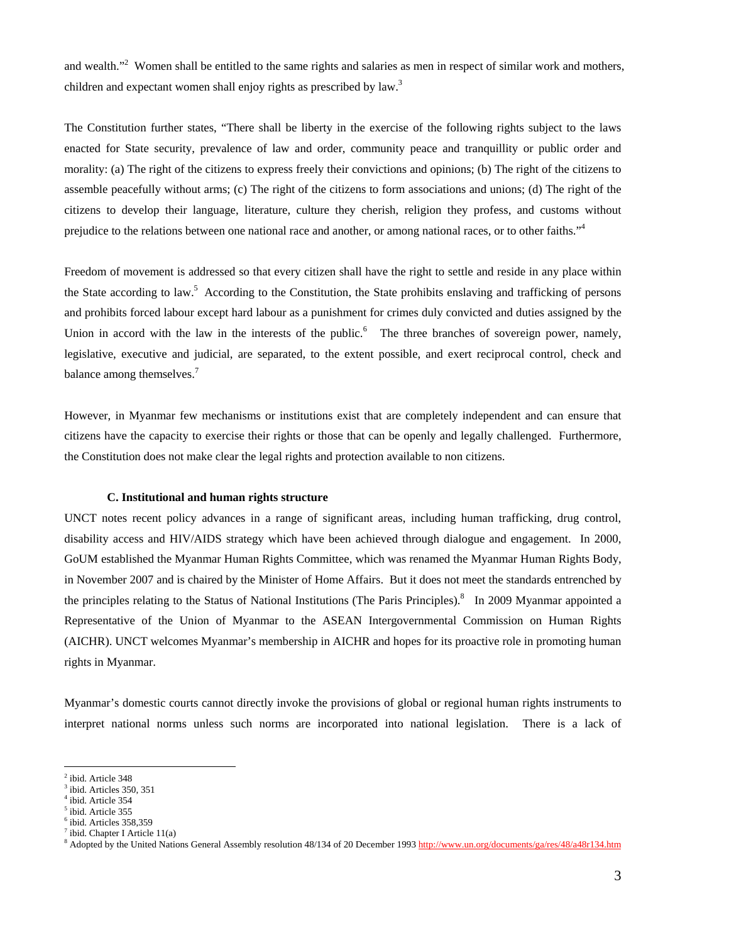and wealth."<sup>2</sup> Women shall be entitled to the same rights and salaries as men in respect of similar work and mothers, children and expectant women shall enjoy rights as prescribed by law.<sup>3</sup>

The Constitution further states, "There shall be liberty in the exercise of the following rights subject to the laws enacted for State security, prevalence of law and order, community peace and tranquillity or public order and morality: (a) The right of the citizens to express freely their convictions and opinions; (b) The right of the citizens to assemble peacefully without arms; (c) The right of the citizens to form associations and unions; (d) The right of the citizens to develop their language, literature, culture they cherish, religion they profess, and customs without prejudice to the relations between one national race and another, or among national races, or to other faiths."<sup>4</sup>

Freedom of movement is addressed so that every citizen shall have the right to settle and reside in any place within the State according to law.<sup>5</sup> According to the Constitution, the State prohibits enslaving and trafficking of persons and prohibits forced labour except hard labour as a punishment for crimes duly convicted and duties assigned by the Union in accord with the law in the interests of the public.<sup>6</sup> The three branches of sovereign power, namely, legislative, executive and judicial, are separated, to the extent possible, and exert reciprocal control, check and balance among themselves. $<sup>7</sup>$ </sup>

However, in Myanmar few mechanisms or institutions exist that are completely independent and can ensure that citizens have the capacity to exercise their rights or those that can be openly and legally challenged. Furthermore, the Constitution does not make clear the legal rights and protection available to non citizens.

### **C. Institutional and human rights structure**

UNCT notes recent policy advances in a range of significant areas, including human trafficking, drug control, disability access and HIV/AIDS strategy which have been achieved through dialogue and engagement. In 2000, GoUM established the Myanmar Human Rights Committee, which was renamed the Myanmar Human Rights Body, in November 2007 and is chaired by the Minister of Home Affairs. But it does not meet the standards entrenched by the principles relating to the Status of National Institutions (The Paris Principles).<sup>8</sup> In 2009 Myanmar appointed a Representative of the Union of Myanmar to the ASEAN Intergovernmental Commission on Human Rights (AICHR). UNCT welcomes Myanmar's membership in AICHR and hopes for its proactive role in promoting human rights in Myanmar.

Myanmar's domestic courts cannot directly invoke the provisions of global or regional human rights instruments to interpret national norms unless such norms are incorporated into national legislation. There is a lack of

<sup>&</sup>lt;sup>2</sup> ibid. Article 348

<sup>&</sup>lt;sup>3</sup> ibid. Articles 350, 351

<sup>4</sup> ibid. Article 354

<sup>5</sup> ibid. Article 355

<sup>6</sup> ibid. Articles 358,359

 $<sup>7</sup>$  ibid. Chapter I Article 11(a)</sup>

<sup>&</sup>lt;sup>8</sup> Adopted by the United Nations General Assembly resolution 48/134 of 20 December 1993 http://www.un.org/documents/ga/res/48/a48r134.htm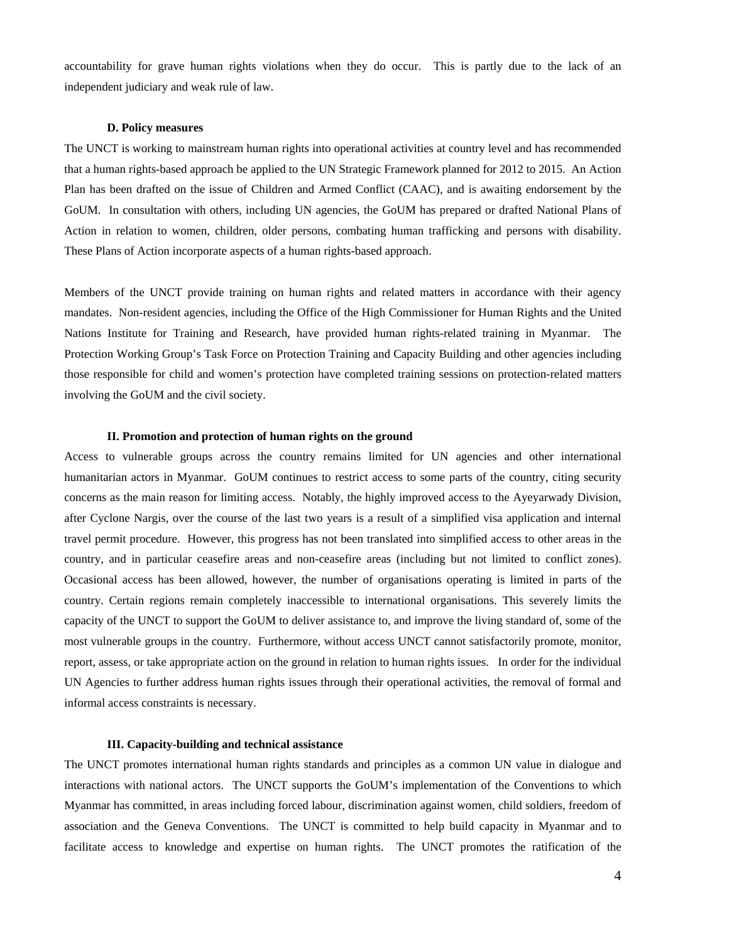accountability for grave human rights violations when they do occur. This is partly due to the lack of an independent judiciary and weak rule of law.

#### **D. Policy measures**

The UNCT is working to mainstream human rights into operational activities at country level and has recommended that a human rights-based approach be applied to the UN Strategic Framework planned for 2012 to 2015. An Action Plan has been drafted on the issue of Children and Armed Conflict (CAAC), and is awaiting endorsement by the GoUM. In consultation with others, including UN agencies, the GoUM has prepared or drafted National Plans of Action in relation to women, children, older persons, combating human trafficking and persons with disability. These Plans of Action incorporate aspects of a human rights-based approach.

Members of the UNCT provide training on human rights and related matters in accordance with their agency mandates. Non-resident agencies, including the Office of the High Commissioner for Human Rights and the United Nations Institute for Training and Research, have provided human rights-related training in Myanmar. The Protection Working Group's Task Force on Protection Training and Capacity Building and other agencies including those responsible for child and women's protection have completed training sessions on protection-related matters involving the GoUM and the civil society.

#### **II. Promotion and protection of human rights on the ground**

Access to vulnerable groups across the country remains limited for UN agencies and other international humanitarian actors in Myanmar. GoUM continues to restrict access to some parts of the country, citing security concerns as the main reason for limiting access. Notably, the highly improved access to the Ayeyarwady Division, after Cyclone Nargis, over the course of the last two years is a result of a simplified visa application and internal travel permit procedure. However, this progress has not been translated into simplified access to other areas in the country, and in particular ceasefire areas and non-ceasefire areas (including but not limited to conflict zones). Occasional access has been allowed, however, the number of organisations operating is limited in parts of the country. Certain regions remain completely inaccessible to international organisations. This severely limits the capacity of the UNCT to support the GoUM to deliver assistance to, and improve the living standard of, some of the most vulnerable groups in the country. Furthermore, without access UNCT cannot satisfactorily promote, monitor, report, assess, or take appropriate action on the ground in relation to human rights issues. In order for the individual UN Agencies to further address human rights issues through their operational activities, the removal of formal and informal access constraints is necessary.

### **III. Capacity-building and technical assistance**

The UNCT promotes international human rights standards and principles as a common UN value in dialogue and interactions with national actors. The UNCT supports the GoUM's implementation of the Conventions to which Myanmar has committed, in areas including forced labour, discrimination against women, child soldiers, freedom of association and the Geneva Conventions. The UNCT is committed to help build capacity in Myanmar and to facilitate access to knowledge and expertise on human rights. The UNCT promotes the ratification of the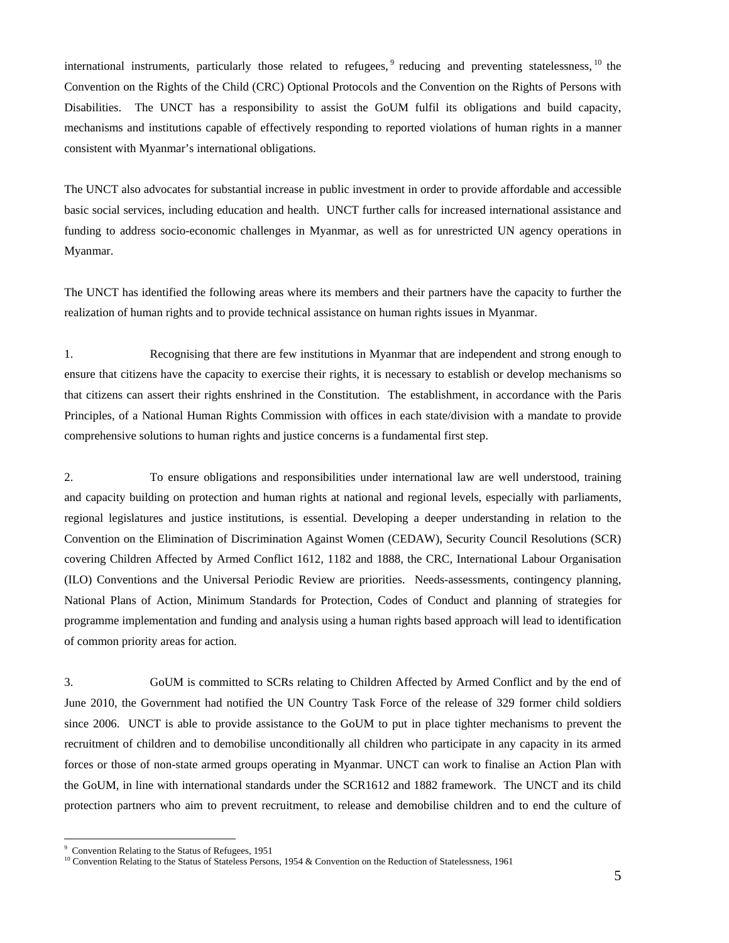international instruments, particularly those related to refugees, $\degree$  reducing and preventing statelessness,  $\frac{10}{10}$  the Convention on the Rights of the Child (CRC) Optional Protocols and the Convention on the Rights of Persons with Disabilities. The UNCT has a responsibility to assist the GoUM fulfil its obligations and build capacity, mechanisms and institutions capable of effectively responding to reported violations of human rights in a manner consistent with Myanmar's international obligations.

The UNCT also advocates for substantial increase in public investment in order to provide affordable and accessible basic social services, including education and health. UNCT further calls for increased international assistance and funding to address socio-economic challenges in Myanmar, as well as for unrestricted UN agency operations in Myanmar.

The UNCT has identified the following areas where its members and their partners have the capacity to further the realization of human rights and to provide technical assistance on human rights issues in Myanmar.

1. Recognising that there are few institutions in Myanmar that are independent and strong enough to ensure that citizens have the capacity to exercise their rights, it is necessary to establish or develop mechanisms so that citizens can assert their rights enshrined in the Constitution. The establishment, in accordance with the Paris Principles, of a National Human Rights Commission with offices in each state/division with a mandate to provide comprehensive solutions to human rights and justice concerns is a fundamental first step.

2. To ensure obligations and responsibilities under international law are well understood, training and capacity building on protection and human rights at national and regional levels, especially with parliaments, regional legislatures and justice institutions, is essential. Developing a deeper understanding in relation to the Convention on the Elimination of Discrimination Against Women (CEDAW), Security Council Resolutions (SCR) covering Children Affected by Armed Conflict 1612, 1182 and 1888, the CRC, International Labour Organisation (ILO) Conventions and the Universal Periodic Review are priorities. Needs-assessments, contingency planning, National Plans of Action, Minimum Standards for Protection, Codes of Conduct and planning of strategies for programme implementation and funding and analysis using a human rights based approach will lead to identification of common priority areas for action.

3. GoUM is committed to SCRs relating to Children Affected by Armed Conflict and by the end of June 2010, the Government had notified the UN Country Task Force of the release of 329 former child soldiers since 2006. UNCT is able to provide assistance to the GoUM to put in place tighter mechanisms to prevent the recruitment of children and to demobilise unconditionally all children who participate in any capacity in its armed forces or those of non-state armed groups operating in Myanmar. UNCT can work to finalise an Action Plan with the GoUM, in line with international standards under the SCR1612 and 1882 framework. The UNCT and its child protection partners who aim to prevent recruitment, to release and demobilise children and to end the culture of

<sup>&</sup>lt;sup>9</sup> Convention Relating to the Status of Refugees, 1951

<sup>&</sup>lt;sup>10</sup> Convention Relating to the Status of Stateless Persons, 1954 & Convention on the Reduction of Statelessness, 1961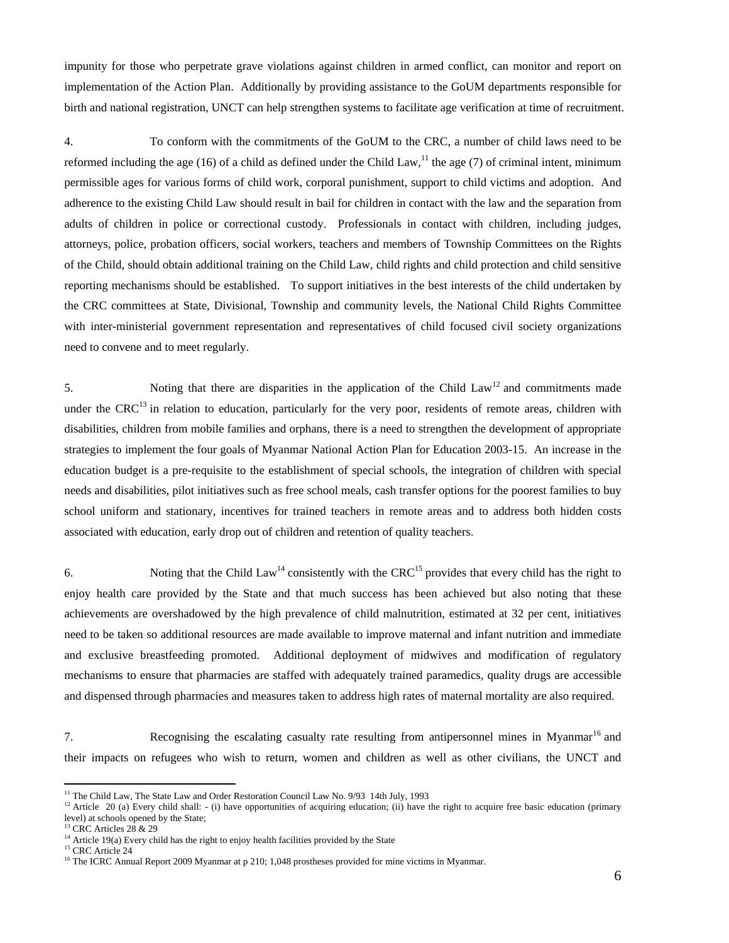impunity for those who perpetrate grave violations against children in armed conflict, can monitor and report on implementation of the Action Plan. Additionally by providing assistance to the GoUM departments responsible for birth and national registration, UNCT can help strengthen systems to facilitate age verification at time of recruitment.

4. To conform with the commitments of the GoUM to the CRC, a number of child laws need to be reformed including the age (16) of a child as defined under the Child Law,<sup>11</sup> the age (7) of criminal intent, minimum permissible ages for various forms of child work, corporal punishment, support to child victims and adoption. And adherence to the existing Child Law should result in bail for children in contact with the law and the separation from adults of children in police or correctional custody. Professionals in contact with children, including judges, attorneys, police, probation officers, social workers, teachers and members of Township Committees on the Rights of the Child, should obtain additional training on the Child Law, child rights and child protection and child sensitive reporting mechanisms should be established. To support initiatives in the best interests of the child undertaken by the CRC committees at State, Divisional, Township and community levels, the National Child Rights Committee with inter-ministerial government representation and representatives of child focused civil society organizations need to convene and to meet regularly.

5. Noting that there are disparities in the application of the Child Law<sup>12</sup> and commitments made under the CRC<sup>13</sup> in relation to education, particularly for the very poor, residents of remote areas, children with disabilities, children from mobile families and orphans, there is a need to strengthen the development of appropriate strategies to implement the four goals of Myanmar National Action Plan for Education 2003-15. An increase in the education budget is a pre-requisite to the establishment of special schools, the integration of children with special needs and disabilities, pilot initiatives such as free school meals, cash transfer options for the poorest families to buy school uniform and stationary, incentives for trained teachers in remote areas and to address both hidden costs associated with education, early drop out of children and retention of quality teachers.

6. Noting that the Child Law<sup>14</sup> consistently with the CRC<sup>15</sup> provides that every child has the right to enjoy health care provided by the State and that much success has been achieved but also noting that these achievements are overshadowed by the high prevalence of child malnutrition, estimated at 32 per cent, initiatives need to be taken so additional resources are made available to improve maternal and infant nutrition and immediate and exclusive breastfeeding promoted. Additional deployment of midwives and modification of regulatory mechanisms to ensure that pharmacies are staffed with adequately trained paramedics, quality drugs are accessible and dispensed through pharmacies and measures taken to address high rates of maternal mortality are also required.

7. Recognising the escalating casualty rate resulting from antipersonnel mines in Myanmar<sup>16</sup> and their impacts on refugees who wish to return, women and children as well as other civilians, the UNCT and

<sup>&</sup>lt;sup>11</sup> The Child Law, The State Law and Order Restoration Council Law No. 9/93 14th July, 1993

<sup>&</sup>lt;sup>12</sup> Article 20 (a) Every child shall: - (i) have opportunities of acquiring education; (ii) have the right to acquire free basic education (primary level) at schools opened by the State;

CRC Articles 28 & 29

<sup>&</sup>lt;sup>14</sup> Article 19(a) Every child has the right to enjoy health facilities provided by the State <sup>15</sup> CRC Article 24

<sup>&</sup>lt;sup>16</sup> The ICRC Annual Report 2009 Myanmar at p 210; 1,048 prostheses provided for mine victims in Myanmar.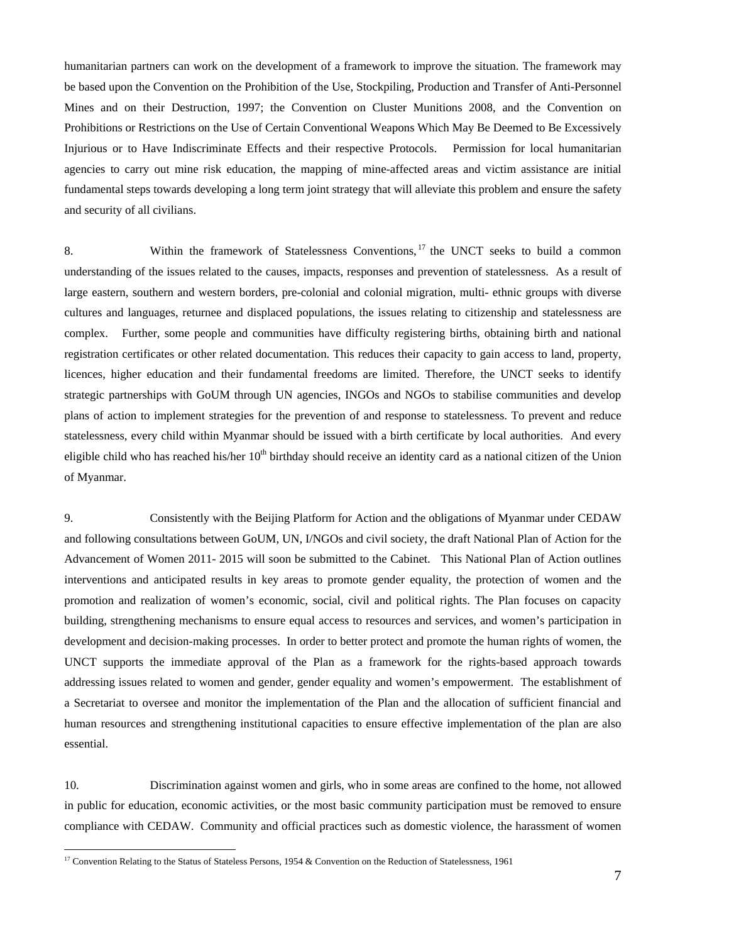humanitarian partners can work on the development of a framework to improve the situation. The framework may be based upon the Convention on the Prohibition of the Use, Stockpiling, Production and Transfer of Anti-Personnel Mines and on their Destruction, 1997; the Convention on Cluster Munitions 2008, and the Convention on Prohibitions or Restrictions on the Use of Certain Conventional Weapons Which May Be Deemed to Be Excessively Injurious or to Have Indiscriminate Effects and their respective Protocols. Permission for local humanitarian agencies to carry out mine risk education, the mapping of mine-affected areas and victim assistance are initial fundamental steps towards developing a long term joint strategy that will alleviate this problem and ensure the safety and security of all civilians.

8. Within the framework of Statelessness Conventions,<sup>17</sup> the UNCT seeks to build a common understanding of the issues related to the causes, impacts, responses and prevention of statelessness. As a result of large eastern, southern and western borders, pre-colonial and colonial migration, multi- ethnic groups with diverse cultures and languages, returnee and displaced populations, the issues relating to citizenship and statelessness are complex. Further, some people and communities have difficulty registering births, obtaining birth and national registration certificates or other related documentation. This reduces their capacity to gain access to land, property, licences, higher education and their fundamental freedoms are limited. Therefore, the UNCT seeks to identify strategic partnerships with GoUM through UN agencies, INGOs and NGOs to stabilise communities and develop plans of action to implement strategies for the prevention of and response to statelessness. To prevent and reduce statelessness, every child within Myanmar should be issued with a birth certificate by local authorities. And every eligible child who has reached his/her  $10<sup>th</sup>$  birthday should receive an identity card as a national citizen of the Union of Myanmar.

9. Consistently with the Beijing Platform for Action and the obligations of Myanmar under CEDAW and following consultations between GoUM, UN, I/NGOs and civil society, the draft National Plan of Action for the Advancement of Women 2011- 2015 will soon be submitted to the Cabinet. This National Plan of Action outlines interventions and anticipated results in key areas to promote gender equality, the protection of women and the promotion and realization of women's economic, social, civil and political rights. The Plan focuses on capacity building, strengthening mechanisms to ensure equal access to resources and services, and women's participation in development and decision-making processes. In order to better protect and promote the human rights of women, the UNCT supports the immediate approval of the Plan as a framework for the rights-based approach towards addressing issues related to women and gender, gender equality and women's empowerment. The establishment of a Secretariat to oversee and monitor the implementation of the Plan and the allocation of sufficient financial and human resources and strengthening institutional capacities to ensure effective implementation of the plan are also essential.

10. Discrimination against women and girls, who in some areas are confined to the home, not allowed in public for education, economic activities, or the most basic community participation must be removed to ensure compliance with CEDAW. Community and official practices such as domestic violence, the harassment of women

<sup>&</sup>lt;sup>17</sup> Convention Relating to the Status of Stateless Persons, 1954 & Convention on the Reduction of Statelessness, 1961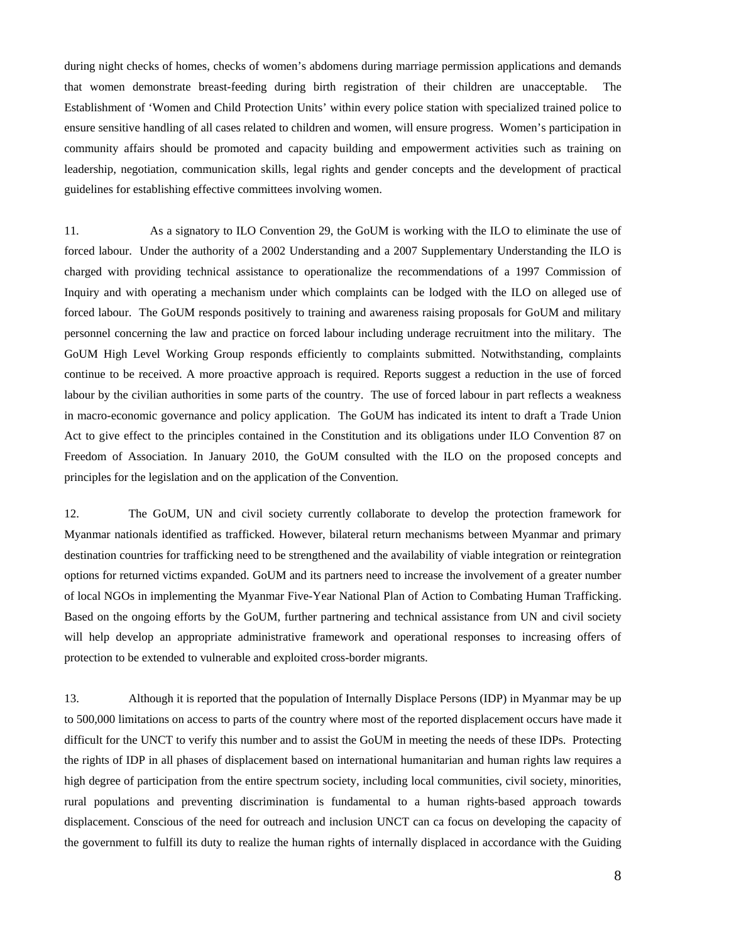during night checks of homes, checks of women's abdomens during marriage permission applications and demands that women demonstrate breast-feeding during birth registration of their children are unacceptable. The Establishment of 'Women and Child Protection Units' within every police station with specialized trained police to ensure sensitive handling of all cases related to children and women, will ensure progress. Women's participation in community affairs should be promoted and capacity building and empowerment activities such as training on leadership, negotiation, communication skills, legal rights and gender concepts and the development of practical guidelines for establishing effective committees involving women.

11. As a signatory to ILO Convention 29, the GoUM is working with the ILO to eliminate the use of forced labour. Under the authority of a 2002 Understanding and a 2007 Supplementary Understanding the ILO is charged with providing technical assistance to operationalize the recommendations of a 1997 Commission of Inquiry and with operating a mechanism under which complaints can be lodged with the ILO on alleged use of forced labour. The GoUM responds positively to training and awareness raising proposals for GoUM and military personnel concerning the law and practice on forced labour including underage recruitment into the military. The GoUM High Level Working Group responds efficiently to complaints submitted. Notwithstanding, complaints continue to be received. A more proactive approach is required. Reports suggest a reduction in the use of forced labour by the civilian authorities in some parts of the country. The use of forced labour in part reflects a weakness in macro-economic governance and policy application. The GoUM has indicated its intent to draft a Trade Union Act to give effect to the principles contained in the Constitution and its obligations under ILO Convention 87 on Freedom of Association. In January 2010, the GoUM consulted with the ILO on the proposed concepts and principles for the legislation and on the application of the Convention.

12. The GoUM, UN and civil society currently collaborate to develop the protection framework for Myanmar nationals identified as trafficked. However, bilateral return mechanisms between Myanmar and primary destination countries for trafficking need to be strengthened and the availability of viable integration or reintegration options for returned victims expanded. GoUM and its partners need to increase the involvement of a greater number of local NGOs in implementing the Myanmar Five-Year National Plan of Action to Combating Human Trafficking. Based on the ongoing efforts by the GoUM, further partnering and technical assistance from UN and civil society will help develop an appropriate administrative framework and operational responses to increasing offers of protection to be extended to vulnerable and exploited cross-border migrants.

13. Although it is reported that the population of Internally Displace Persons (IDP) in Myanmar may be up to 500,000 limitations on access to parts of the country where most of the reported displacement occurs have made it difficult for the UNCT to verify this number and to assist the GoUM in meeting the needs of these IDPs. Protecting the rights of IDP in all phases of displacement based on international humanitarian and human rights law requires a high degree of participation from the entire spectrum society, including local communities, civil society, minorities, rural populations and preventing discrimination is fundamental to a human rights-based approach towards displacement. Conscious of the need for outreach and inclusion UNCT can ca focus on developing the capacity of the government to fulfill its duty to realize the human rights of internally displaced in accordance with the Guiding